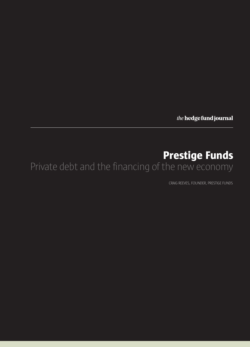the hedge fund journal

# **Prestige Funds** Private debt and the financing of the new economy

CRAIG REEVES, FOUNDER, PRESTIGE FUNDS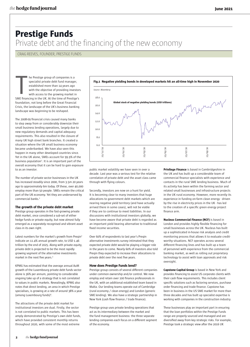## **Prestige Funds** Private debt and the financing of the new economy

CRAIG REEVES, FOUNDER, PRESTIGE FUNDS

he Prestige group of companies is a specialist private debt fund manager, established more than 14 years ago with the objective of providing investors with access to the growing market in SME financing in the UK. At the time of Prestige's foundation, not long before the Great Financial Crisis, the landscape of the UK's business banking landscape was beginning to be reshaped.

The 2008-09 financial crisis caused many banks to step away from or considerably downsize their small business lending operations, largely due to new regulatory demands and capital adequacy requirements. This also resulted in the closure of many UK high street bank branches. It created a situation where the UK small business economy became underbanked. We have also seen this happen in many other developed countries since. Yet in the UK alone, SMEs account for 99.9% of the business population<sup>1</sup>. It is an important part of the overall economy that it can be hard to gain exposure to as an investor.

The number of private sector businesses in the UK has increased steadily since 2000, from 3.5m 20 years ago to approximately 6m today. Of these, over 40,000 employ more than 50 people. SMEs remain the critical part of the UK economy. Yet they are underserved by commercial banks.<sup>1</sup>

#### **The growth of the private debt market**

Prestige group operates in the fast-growing private debt market, once considered a sub-set of either hedge funds or private equity, but now almost fully emerged as a separately recognised and vibrant asset class in its own right.

Latest numbers for the market's growth from Preqin<sup>2</sup> indicate an 11.4% annual growth rate, to USD 1.46 trillion by the end of 2025. Along with private equity, private debt is projected to be the most rapidly growing segment of the alternative investments market in the next five years.3

KPMG has estimated that the average annual AuM growth of the Luxembourg private debt funds sector alone is 36% per annum, pointing to considerable ongoing take up of a strategy that is not correlated to values in public markets. Revealingly, KPMG also notes that direct lending, an area in which Prestige specialises, is growing at a rate of around 38% a year (among Luxembourg funds)4 .

The attractions of the private debt market for institutional investors are dual. Firstly, the sector is not correlated to public markets. This has been amply demonstrated by Prestige's own debt funds, which have provided consistent monthly returns throughout 2020, with some of the most extreme



public market volatility we have seen in over a decade. Last year was a serious test for the relative correlation of private debt and the asset class came through with flying colours.

Secondly, investors are now on a hunt for yield. It is becoming clear to many investors that huge allocations to government debt markets which are nearing negative yield territory (and have actually arrived there in some cases), will not be viable if they are to continue to meet liabilities. In our discussions with institutional investors globally, we have become aware that private debt is regarded as an important yield bearing alternative to traditional fixed income securities.

Over 60% of respondents to last year's Preqin alternative investments survey intimated that they expected private debt would be playing a bigger role in the years to come. Nearly 60% of investors also told Preqin they expected to increase their allocations to private debt over the next five years.

#### **How does Prestige Funds lend?**

Prestige group consists of several different companies under common ownership and/or control. We now employ and retain over 100 finance professionals in the UK, with an additional established team based in Malta. Our lending teams operate out of Cambridge (rural economy / clean energy) and London (generic SME lending). We also have a strategic partnership in New York (cash flow finance / trade finance).

Prestige group uses private lending operations that act as its intermediary between the market and the fund management business: the three separate lending companies each focus on a different segment of the economy.

**Privilege Finance** is based in Cambridgeshire in the UK and has built up a considerable team of commercial finance specialists with experience and contacts in the rural SME lending business. Much of its activity has been within the farming sector and related small businesses and infrastructure projects in the UK rural economy. However, more recently its experience in funding on-farm clean energy - driven by the rise in electricity prices in the UK - has led to the creation of a specific green energy project finance arm.

**Nucleus Commercial Finance (NCF)** is based in London and provides highly flexible financing for small businesses across the UK. Nucleus has built up a sophisticated in-house risk analysis and credit monitoring process that allows it to evaluate creditworthy situations. NCF operates across several different financing lines and has built up a team of personnel with experience from the commercial banking market, as well as rolling out proprietary technology to assist with loan approvals and risk oversight.

**Capstone Capital Group** is based in New York and provides financing to assist US corporate clients with their cash flow requirements. This includes client specific solutions such as factoring services, purchase order financing and trade finance. Capstone has been in business in the US SME market for more than three decades and has built up specialist expertise is working with companies in the construction industry.

These businesses play an important part in ensuring that the loan portfolios within the Prestige Funds range are properly sourced and managed and are diversified away from key strategic risks. For example, Prestige took a strategic view after the 2016 UK